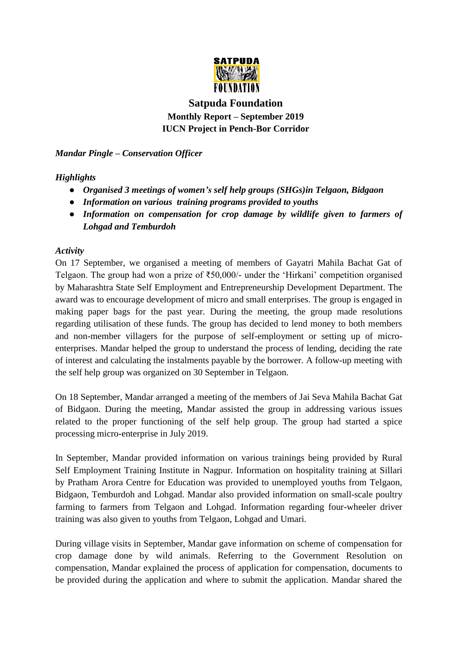

## **Satpuda Foundation Monthly Report – September 2019 IUCN Project in Pench-Bor Corridor**

*Mandar Pingle – Conservation Officer*

## *Highlights*

- *Organised 3 meetings of women's self help groups (SHGs)in Telgaon, Bidgaon*
- *Information on various training programs provided to youths*
- *Information on compensation for crop damage by wildlife given to farmers of Lohgad and Temburdoh*

## *Activity*

On 17 September, we organised a meeting of members of Gayatri Mahila Bachat Gat of Telgaon. The group had won a prize of ₹50,000/- under the 'Hirkani' competition organised by Maharashtra State Self Employment and Entrepreneurship Development Department. The award was to encourage development of micro and small enterprises. The group is engaged in making paper bags for the past year. During the meeting, the group made resolutions regarding utilisation of these funds. The group has decided to lend money to both members and non-member villagers for the purpose of self-employment or setting up of microenterprises. Mandar helped the group to understand the process of lending, deciding the rate of interest and calculating the instalments payable by the borrower. A follow-up meeting with the self help group was organized on 30 September in Telgaon.

On 18 September, Mandar arranged a meeting of the members of Jai Seva Mahila Bachat Gat of Bidgaon. During the meeting, Mandar assisted the group in addressing various issues related to the proper functioning of the self help group. The group had started a spice processing micro-enterprise in July 2019.

In September, Mandar provided information on various trainings being provided by Rural Self Employment Training Institute in Nagpur. Information on hospitality training at Sillari by Pratham Arora Centre for Education was provided to unemployed youths from Telgaon, Bidgaon, Temburdoh and Lohgad. Mandar also provided information on small-scale poultry farming to farmers from Telgaon and Lohgad. Information regarding four-wheeler driver training was also given to youths from Telgaon, Lohgad and Umari.

During village visits in September, Mandar gave information on scheme of compensation for crop damage done by wild animals. Referring to the Government Resolution on compensation, Mandar explained the process of application for compensation, documents to be provided during the application and where to submit the application. Mandar shared the